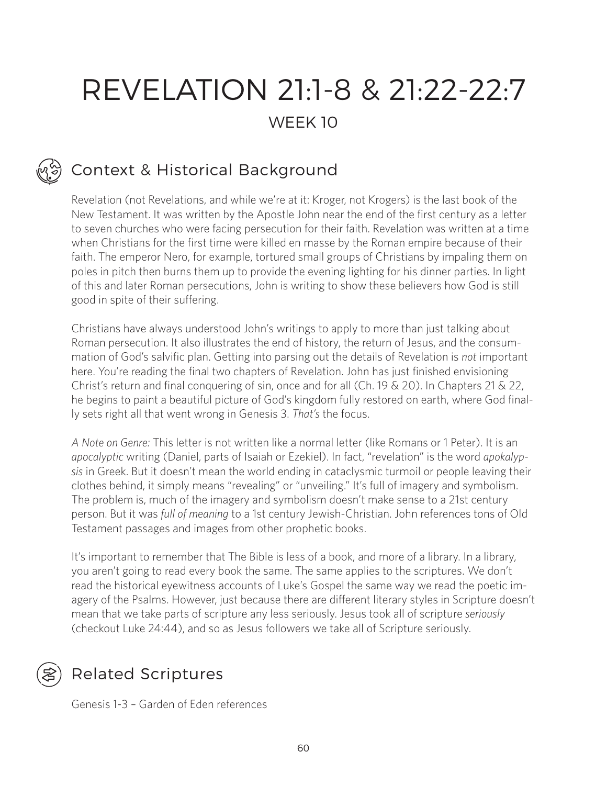# REVELATION 21:1-8 & 21:22-22:7 WFFK 10

### Context & Historical Background

Revelation (not Revelations, and while we're at it: Kroger, not Krogers) is the last book of the New Testament. It was written by the Apostle John near the end of the first century as a letter to seven churches who were facing persecution for their faith. Revelation was written at a time when Christians for the first time were killed en masse by the Roman empire because of their faith. The emperor Nero, for example, tortured small groups of Christians by impaling them on poles in pitch then burns them up to provide the evening lighting for his dinner parties. In light of this and later Roman persecutions, John is writing to show these believers how God is still good in spite of their suffering.

Christians have always understood John's writings to apply to more than just talking about Roman persecution. It also illustrates the end of history, the return of Jesus, and the consummation of God's salvific plan. Getting into parsing out the details of Revelation is *not* important here. You're reading the final two chapters of Revelation. John has just finished envisioning Christ's return and final conquering of sin, once and for all (Ch. 19 & 20). In Chapters 21 & 22, he begins to paint a beautiful picture of God's kingdom fully restored on earth, where God finally sets right all that went wrong in Genesis 3. *That's* the focus.

*A Note on Genre:* This letter is not written like a normal letter (like Romans or 1 Peter). It is an *apocalyptic* writing (Daniel, parts of Isaiah or Ezekiel). In fact, "revelation" is the word *apokalypsis* in Greek. But it doesn't mean the world ending in cataclysmic turmoil or people leaving their clothes behind, it simply means "revealing" or "unveiling." It's full of imagery and symbolism. The problem is, much of the imagery and symbolism doesn't make sense to a 21st century person. But it was *full of meaning* to a 1st century Jewish-Christian. John references tons of Old Testament passages and images from other prophetic books.

It's important to remember that The Bible is less of a book, and more of a library. In a library, you aren't going to read every book the same. The same applies to the scriptures. We don't read the historical eyewitness accounts of Luke's Gospel the same way we read the poetic imagery of the Psalms. However, just because there are different literary styles in Scripture doesn't mean that we take parts of scripture any less seriously. Jesus took all of scripture *seriously* (checkout Luke 24:44), and so as Jesus followers we take all of Scripture seriously.



### Related Scriptures

Genesis 1-3 – Garden of Eden references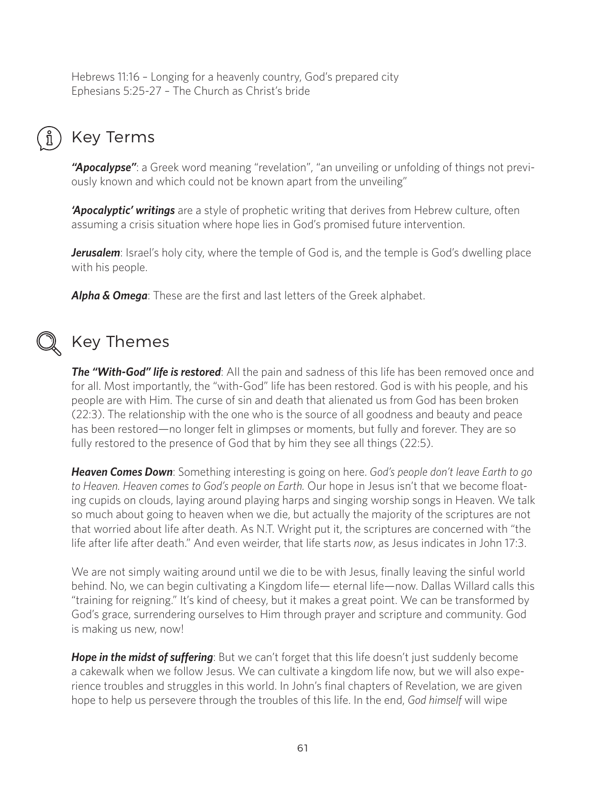Hebrews 11:16 – Longing for a heavenly country, God's prepared city Ephesians 5:25-27 – The Church as Christ's bride

#### $\left[\begin{smallmatrix}\hspace{.2mm}0\1\end{smallmatrix}\right]$ Key Terms

"Apocalypse": a Greek word meaning "revelation", "an unveiling or unfolding of things not previously known and which could not be known apart from the unveiling"

*'Apocalyptic' writings* are a style of prophetic writing that derives from Hebrew culture, often assuming a crisis situation where hope lies in God's promised future intervention.

**Jerusalem**: Israel's holy city, where the temple of God is, and the temple is God's dwelling place with his people.

*Alpha & Omega*: These are the first and last letters of the Greek alphabet.

### Key Themes

**The "With-God" life is restored**: All the pain and sadness of this life has been removed once and for all. Most importantly, the "with-God" life has been restored. God is with his people, and his people are with Him. The curse of sin and death that alienated us from God has been broken (22:3). The relationship with the one who is the source of all goodness and beauty and peace has been restored—no longer felt in glimpses or moments, but fully and forever. They are so fully restored to the presence of God that by him they see all things (22:5).

*Heaven Comes Down*: Something interesting is going on here. *God's people don't leave Earth to go to Heaven. Heaven comes to God's people on Earth.* Our hope in Jesus isn't that we become floating cupids on clouds, laying around playing harps and singing worship songs in Heaven. We talk so much about going to heaven when we die, but actually the majority of the scriptures are not that worried about life after death. As N.T. Wright put it, the scriptures are concerned with "the life after life after death." And even weirder, that life starts *now*, as Jesus indicates in John 17:3.

We are not simply waiting around until we die to be with Jesus, finally leaving the sinful world behind. No, we can begin cultivating a Kingdom life— eternal life—now. Dallas Willard calls this "training for reigning." It's kind of cheesy, but it makes a great point. We can be transformed by God's grace, surrendering ourselves to Him through prayer and scripture and community. God is making us new, now!

**Hope in the midst of suffering**: But we can't forget that this life doesn't just suddenly become a cakewalk when we follow Jesus. We can cultivate a kingdom life now, but we will also experience troubles and struggles in this world. In John's final chapters of Revelation, we are given hope to help us persevere through the troubles of this life. In the end, *God himself* will wipe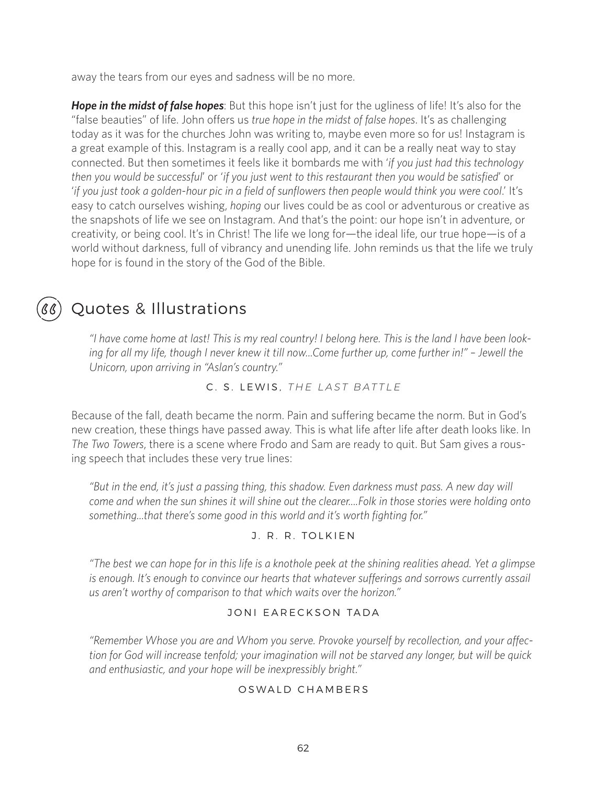away the tears from our eyes and sadness will be no more.

**Hope in the midst of false hopes**: But this hope isn't just for the ugliness of life! It's also for the "false beauties" of life. John offers us *true hope in the midst of false hopes*. It's as challenging today as it was for the churches John was writing to, maybe even more so for us! Instagram is a great example of this. Instagram is a really cool app, and it can be a really neat way to stay connected. But then sometimes it feels like it bombards me with '*if you just had this technology then you would be successful*' or '*if you just went to this restaurant then you would be satisfied*' or '*if you just took a golden-hour pic in a field of sunflowers then people would think you were cool*.' It's easy to catch ourselves wishing, *hoping* our lives could be as cool or adventurous or creative as the snapshots of life we see on Instagram. And that's the point: our hope isn't in adventure, or creativity, or being cool. It's in Christ! The life we long for—the ideal life, our true hope—is of a world without darkness, full of vibrancy and unending life. John reminds us that the life we truly hope for is found in the story of the God of the Bible.

### Quotes & Illustrations

*"I have come home at last! This is my real country! I belong here. This is the land I have been looking for all my life, though I never knew it till now...Come further up, come further in!" – Jewell the Unicorn, upon arriving in "Aslan's country."* 

C. S. LEWIS, *THE LAST BATTLE*

Because of the fall, death became the norm. Pain and suffering became the norm. But in God's new creation, these things have passed away. This is what life after life after death looks like. In *The Two Towers*, there is a scene where Frodo and Sam are ready to quit. But Sam gives a rousing speech that includes these very true lines:

*"But in the end, it's just a passing thing, this shadow. Even darkness must pass. A new day will come and when the sun shines it will shine out the clearer....Folk in those stories were holding onto something...that there's some good in this world and it's worth fighting for."*

#### J. R. R. TOLKIEN

*"The best we can hope for in this life is a knothole peek at the shining realities ahead. Yet a glimpse is enough. It's enough to convince our hearts that whatever sufferings and sorrows currently assail us aren't worthy of comparison to that which waits over the horizon."*

#### JONI EARECKSON TADA

*"Remember Whose you are and Whom you serve. Provoke yourself by recollection, and your affection for God will increase tenfold; your imagination will not be starved any longer, but will be quick and enthusiastic, and your hope will be inexpressibly bright."* 

#### OSWALD CHAMBERS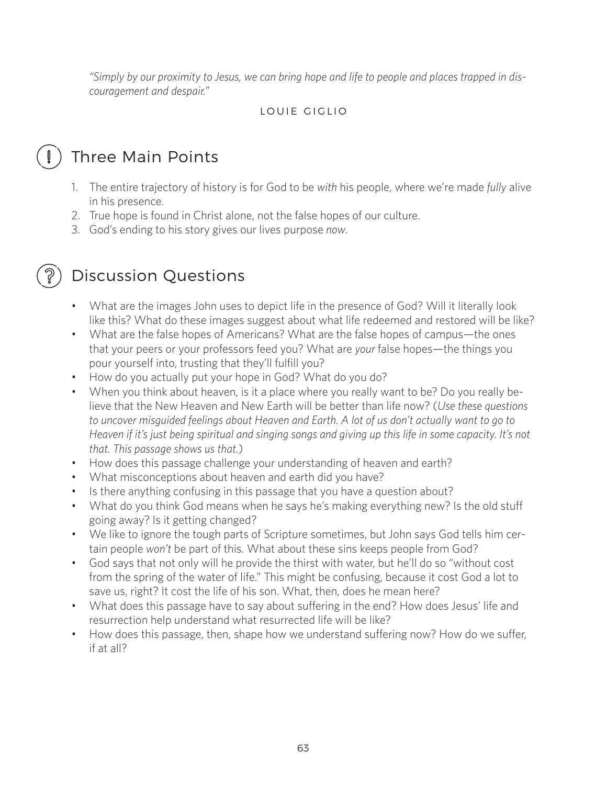*"Simply by our proximity to Jesus, we can bring hope and life to people and places trapped in discouragement and despair."*

### LOUIE GIGLIO

## Three Main Points

- 1. The entire trajectory of history is for God to be *with* his people, where we're made *fully* alive in his presence.
- 2. True hope is found in Christ alone, not the false hopes of our culture.
- 3. God's ending to his story gives our lives purpose *now*.

### Discussion Questions

- What are the images John uses to depict life in the presence of God? Will it literally look like this? What do these images suggest about what life redeemed and restored will be like?
- What are the false hopes of Americans? What are the false hopes of campus—the ones that your peers or your professors feed you? What are *your* false hopes—the things you pour yourself into, trusting that they'll fulfill you?
- How do you actually put your hope in God? What do you do?
- When you think about heaven, is it a place where you really want to be? Do you really believe that the New Heaven and New Earth will be better than life now? (*Use these questions to uncover misguided feelings about Heaven and Earth. A lot of us don't actually want to go to Heaven if it's just being spiritual and singing songs and giving up this life in some capacity. It's not that. This passage shows us that.*)
- How does this passage challenge your understanding of heaven and earth?
- What misconceptions about heaven and earth did you have?
- Is there anything confusing in this passage that you have a question about?
- What do you think God means when he says he's making everything new? Is the old stuff going away? Is it getting changed?
- We like to ignore the tough parts of Scripture sometimes, but John says God tells him certain people *won't* be part of this. What about these sins keeps people from God?
- God says that not only will he provide the thirst with water, but he'll do so "without cost from the spring of the water of life." This might be confusing, because it cost God a lot to save us, right? It cost the life of his son. What, then, does he mean here?
- What does this passage have to say about suffering in the end? How does Jesus' life and resurrection help understand what resurrected life will be like?
- How does this passage, then, shape how we understand suffering now? How do we suffer, if at all?